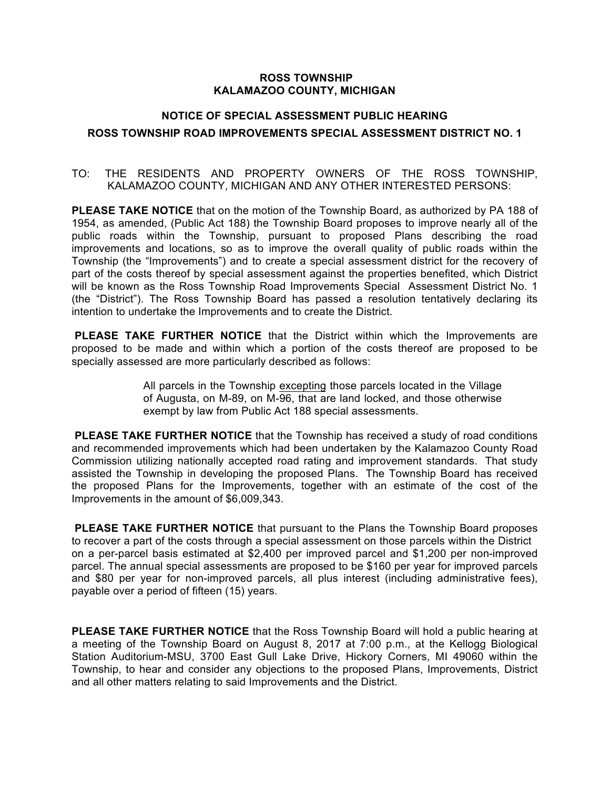## **ROSS TOWNSHIP KALAMAZOO COUNTY, MICHIGAN**

## **NOTICE OF SPECIAL ASSESSMENT PUBLIC HEARING**

## **ROSS TOWNSHIP ROAD IMPROVEMENTS SPECIAL ASSESSMENT DISTRICT NO. 1**

# TO: THE RESIDENTS AND PROPERTY OWNERS OF THE ROSS TOWNSHIP, KALAMAZOO COUNTY, MICHIGAN AND ANY OTHER INTERESTED PERSONS:

**PLEASE TAKE NOTICE** that on the motion of the Township Board, as authorized by PA 188 of 1954, as amended, (Public Act 188) the Township Board proposes to improve nearly all of the public roads within the Township, pursuant to proposed Plans describing the road improvements and locations, so as to improve the overall quality of public roads within the Township (the "Improvements") and to create a special assessment district for the recovery of part of the costs thereof by special assessment against the properties benefited, which District will be known as the Ross Township Road Improvements Special Assessment District No. 1 (the "District"). The Ross Township Board has passed a resolution tentatively declaring its intention to undertake the Improvements and to create the District.

**PLEASE TAKE FURTHER NOTICE** that the District within which the Improvements are proposed to be made and within which a portion of the costs thereof are proposed to be specially assessed are more particularly described as follows:

> All parcels in the Township excepting those parcels located in the Village of Augusta, on M-89, on M-96, that are land locked, and those otherwise exempt by law from Public Act 188 special assessments.

**PLEASE TAKE FURTHER NOTICE** that the Township has received a study of road conditions and recommended improvements which had been undertaken by the Kalamazoo County Road Commission utilizing nationally accepted road rating and improvement standards. That study assisted the Township in developing the proposed Plans. The Township Board has received the proposed Plans for the Improvements, together with an estimate of the cost of the Improvements in the amount of \$6,009,343.

**PLEASE TAKE FURTHER NOTICE** that pursuant to the Plans the Township Board proposes to recover a part of the costs through a special assessment on those parcels within the District on a per-parcel basis estimated at \$2,400 per improved parcel and \$1,200 per non-improved parcel. The annual special assessments are proposed to be \$160 per year for improved parcels and \$80 per year for non-improved parcels, all plus interest (including administrative fees), payable over a period of fifteen (15) years.

**PLEASE TAKE FURTHER NOTICE** that the Ross Township Board will hold a public hearing at a meeting of the Township Board on August 8, 2017 at 7:00 p.m., at the Kellogg Biological Station Auditorium-MSU, 3700 East Gull Lake Drive, Hickory Corners, MI 49060 within the Township, to hear and consider any objections to the proposed Plans, Improvements, District and all other matters relating to said Improvements and the District.